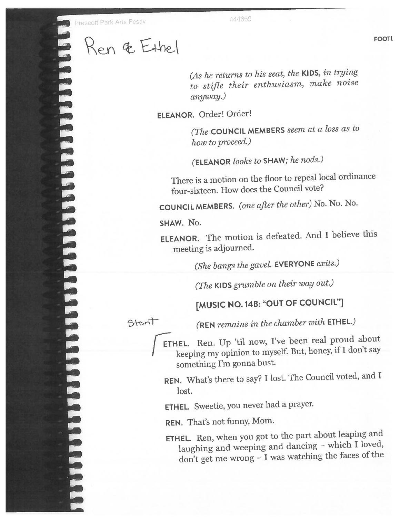**MARIARE DE L'ARRESTA DE L'ARRESTA DE L'ARRESTA DE L'ARRESTA DE L'ARRESTA DE L'ARRESTA DE L'ARRESTA DE L'ARRESTA DEL** Ren & Ethel

(As he returns to his seat, the KIDS, in trying to stifle their enthusiasm, make noise anyway.)

ELEANOR. Order! Order!

(The COUNCIL MEMBERS seem at <sup>a</sup> loss as to how to proceed.)

(ELEANOR looks to SHAW; he nods.)

There is <sup>a</sup> motion on the floor to repea<sup>l</sup> local ordinance four-sixteen. How does the Council vote?

COUNCIL MEMBERS. (one after the other) No. No. No.

SHAW. No.

ELEANOR. The motion is defeated. And <sup>I</sup> believe this meeting is adjourned.

(She bangs the gavel. EVERYONE exits.)

(The KIDS grumble on their way out.)

## [MUSIC NO. 14B: "OUT OF COUNCIL"]

Stant

(REN remains in the chamber with ETHEL.)

ETHEL. Ren. Up 'til now, I've been real proud about keeping my opinion to myself. But, honey, if <sup>I</sup> don't say something I'm gonna bust.

REN. What's there to say? <sup>I</sup> lost. The Council voted, and <sup>I</sup> lost.

ETHEL. Sweetie, you never had <sup>a</sup> prayer.

REN. That's not funny, Mom.

ETHEL. Ren, when you go<sup>t</sup> to the part about leaping and laughing and weeping and dancing - which I loved, don't ge<sup>t</sup> me wrong — <sup>I</sup> was watching the faces of the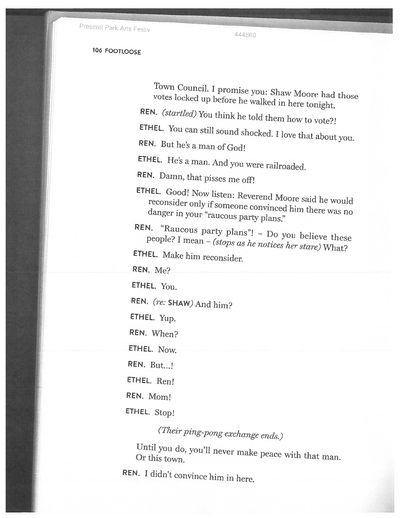Prescott Park Arts Festiv

444869

<sup>106</sup> FOOTLOOSE

Town Council. votes votes locked up before he walked in here tonight.<br>REN. (startled) You think he told them how to vote?!

ETHEL. You can still sound shocked. I love that about you.<br>REN. But he's a man of  $G_0$ d!

ETHEL. He's <sup>a</sup> man. And you were railroaded.

REN. Damn, that pisses me off!

ETHEL. Good! Now listen: Reverend Moore said he would reconsider only if someone convinced him there was no<br>danger in your "raucous party plans."

REN. "Raucous party plans"! - Do you believe these people? I mean – (stops as he notices her stare) What?<br>ETHEL. Make him reconsider

REN. Me?

ETHEL. You.

REN. (re: SHAW) And him?

ETHEL. Yup.

REN. When?

ETHEL. Now.

REN. But...!

ETHEL. Ren!

REN. Mom!

ETHEL. Stop!

(Their ping-pong exchange ends.)

Until you do, you'll never make peace with that man.<br>Or this town.

REN. <sup>I</sup> didn't convince him in here.